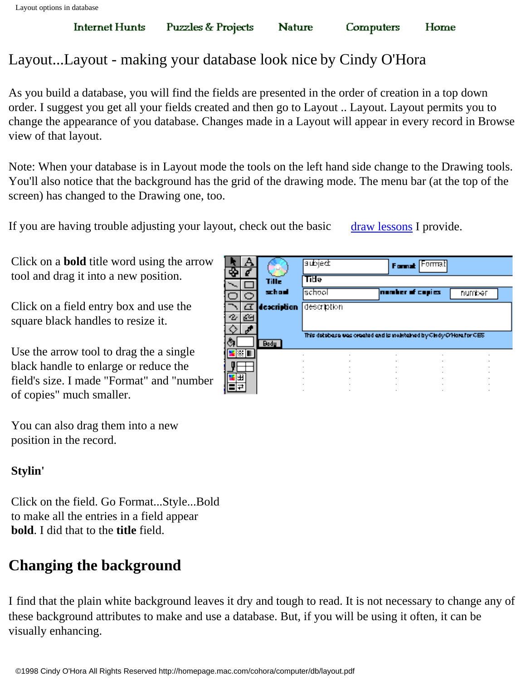You can also drag them into a new

position in the record.

Click on the field. Go Format...Style...Bold to make all the entries in a field appear **bold**. I did that to the **title** field.

### **Changing the background**

I find that the plain white background leaves it dry and tough to read. It is not necessary to change any of these background attributes to make and use a database. But, if you will be using it often, it can be visually enhancing.

|   |             | <b>subject</b>                                                     |  | Format Format    |        |  |
|---|-------------|--------------------------------------------------------------------|--|------------------|--------|--|
|   | Tille       | Tīste                                                              |  |                  |        |  |
|   | school      | <b>Ischool</b>                                                     |  | nomber of copies | number |  |
| σ | description | description                                                        |  |                  |        |  |
| œ |             |                                                                    |  |                  |        |  |
|   |             | This detebase was created and is melricined by Cindy O'Harafor CES |  |                  |        |  |
|   | Bady        |                                                                    |  |                  |        |  |
|   |             |                                                                    |  |                  |        |  |
|   |             |                                                                    |  |                  |        |  |
| 閉 |             |                                                                    |  |                  |        |  |
|   |             |                                                                    |  |                  |        |  |

Computers

Home

# Layout...Layout - making your database look nice by Cindy O'Hora

**Puzzles & Projects** 

As you build a database, you will find the fields are presented in the order of creation in a top down order. I suggest you get all your fields created and then go to Layout .. Layout. Layout permits you to change the appearance of you database. Changes made in a Layout will appear in every record in Browse view of that layout.

**Nature** 

Note: When your database is in Layout mode the tools on the left hand side change to the Drawing tools. You'll also notice that the background has the grid of the drawing mode. The menu bar (at the top of the screen) has changed to the Drawing one, too.

RALA

If you are having trouble adjusting your layout, check out the basic [draw lessons](http://homepage.mac.com/cohora/computer/Computers.html) I provide.

Click on a **bold** title word using the arrow tool and drag it into a new position.

Click on a field entry box and use the square black handles to resize it.

Use the arrow tool to drag the a single black handle to enlarge or reduce the field's size. I made "Format" and "number of copies" much smaller.

**Stylin'**

**Internet Hunts**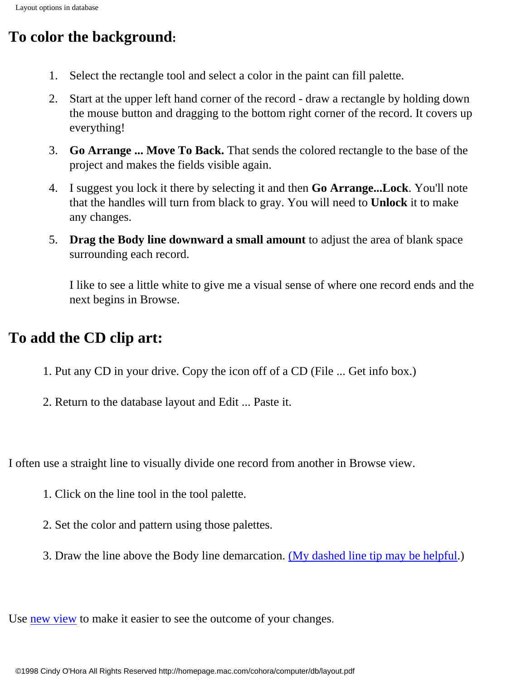## **To color the background:**

- 1. Select the rectangle tool and select a color in the paint can fill palette.
- 2. Start at the upper left hand corner of the record draw a rectangle by holding down the mouse button and dragging to the bottom right corner of the record. It covers up everything!
- 3. **Go Arrange ... Move To Back.** That sends the colored rectangle to the base of the project and makes the fields visible again.
- 4. I suggest you lock it there by selecting it and then **Go Arrange...Lock**. You'll note that the handles will turn from black to gray. You will need to **Unlock** it to make any changes.
- 5. **Drag the Body line downward a small amount** to adjust the area of blank space surrounding each record.

I like to see a little white to give me a visual sense of where one record ends and the next begins in Browse.

## **To add the CD clip art:**

- 1. Put any CD in your drive. Copy the icon off of a CD (File ... Get info box.)
- 2. Return to the database layout and Edit ... Paste it.

I often use a straight line to visually divide one record from another in Browse view.

- 1. Click on the line tool in the tool palette.
- 2. Set the color and pattern using those palettes.
- 3. Draw the line above the Body line demarcation. [\(My dashed line tip may be helpful.](http://homepage.mac.com/cohora/computer/dash.pdf))

Use [new view](http://homepage.mac.com/cohora/computer/db/newview.pdf) to make it easier to see the outcome of your changes.